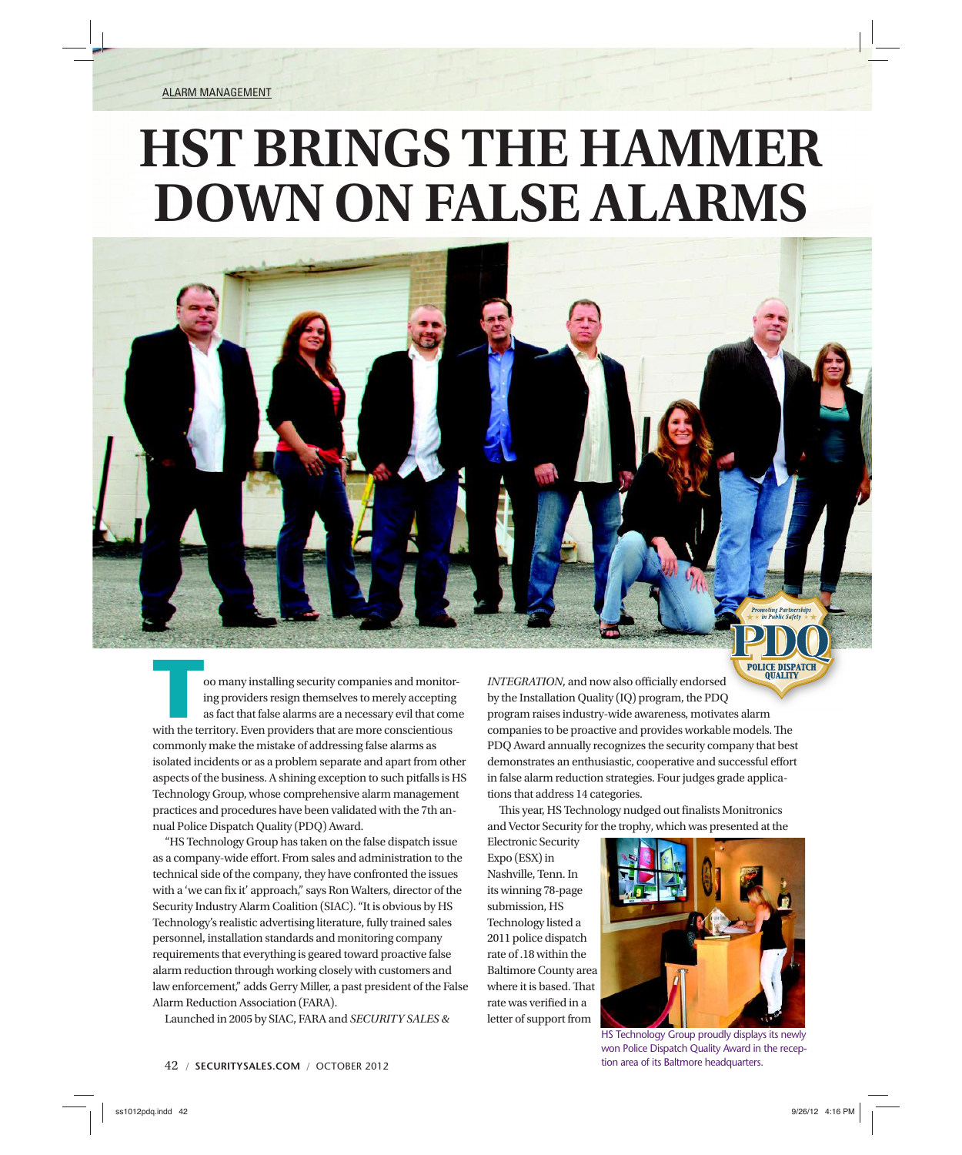ALARM MANAGEMENT

# **HST BRINGS THE HAMMER DOWN ON FALSE ALARMS**



**Too many installing security companies and monitor-**<br>ing providers resign themselves to merely accepting<br>as fact that false alarms are a necessary evil that come<br>with the territory. Even providers that are more conscienti ing providers resign themselves to merely accepting as fact that false alarms are a necessary evil that come commonly make the mistake of addressing false alarms as isolated incidents or as a problem separate and apart from other aspects of the business. A shining exception to such pitfalls is HS Technology Group, whose comprehensive alarm management practices and procedures have been validated with the 7th annual Police Dispatch Quality (PDQ) Award.

"HS Technology Group has taken on the false dispatch issue as a company-wide effort. From sales and administration to the technical side of the company, they have confronted the issues with a 'we can fix it' approach," says Ron Walters, director of the Security Industry Alarm Coalition (SIAC). "It is obvious by HS Technology's realistic advertising literature, fully trained sales personnel, installation standards and monitoring company requirements that everything is geared toward proactive false alarm reduction through working closely with customers and law enforcement," adds Gerry Miller, a past president of the False Alarm Reduction Association (FARA).

Launched in 2005 by SIAC, FARA and *SECURITY SALES &* 

tions that address 14 categories. This year, HS Technology nudged out finalists Monitronics and Vector Security for the trophy, which was presented at the Electronic Security Expo (ESX) in Nashville, Tenn. In

INTEGRATION, and now also officially endorsed by the Installation Quality (IQ) program, the PDQ Q program raises industry-wide awareness, motivates alarm l companies to be proactive and provides workable models. The PDQ Award annually recognizes the security company that best demonstrates an enthusiastic, cooperative and successful effort in false alarm reduction strategies. Four judges grade applica-

its winning 78-page submission, HS Technology listed a 2011 police dispatch rate of .18 within the Baltimore County area where it is based. That rate was verified in a letter of support from



**POLICE DISPATC** 

HS Technology Group proudly displays its newly won Police Dispatch Quality Award in the reception area of its Baltmore headquarters.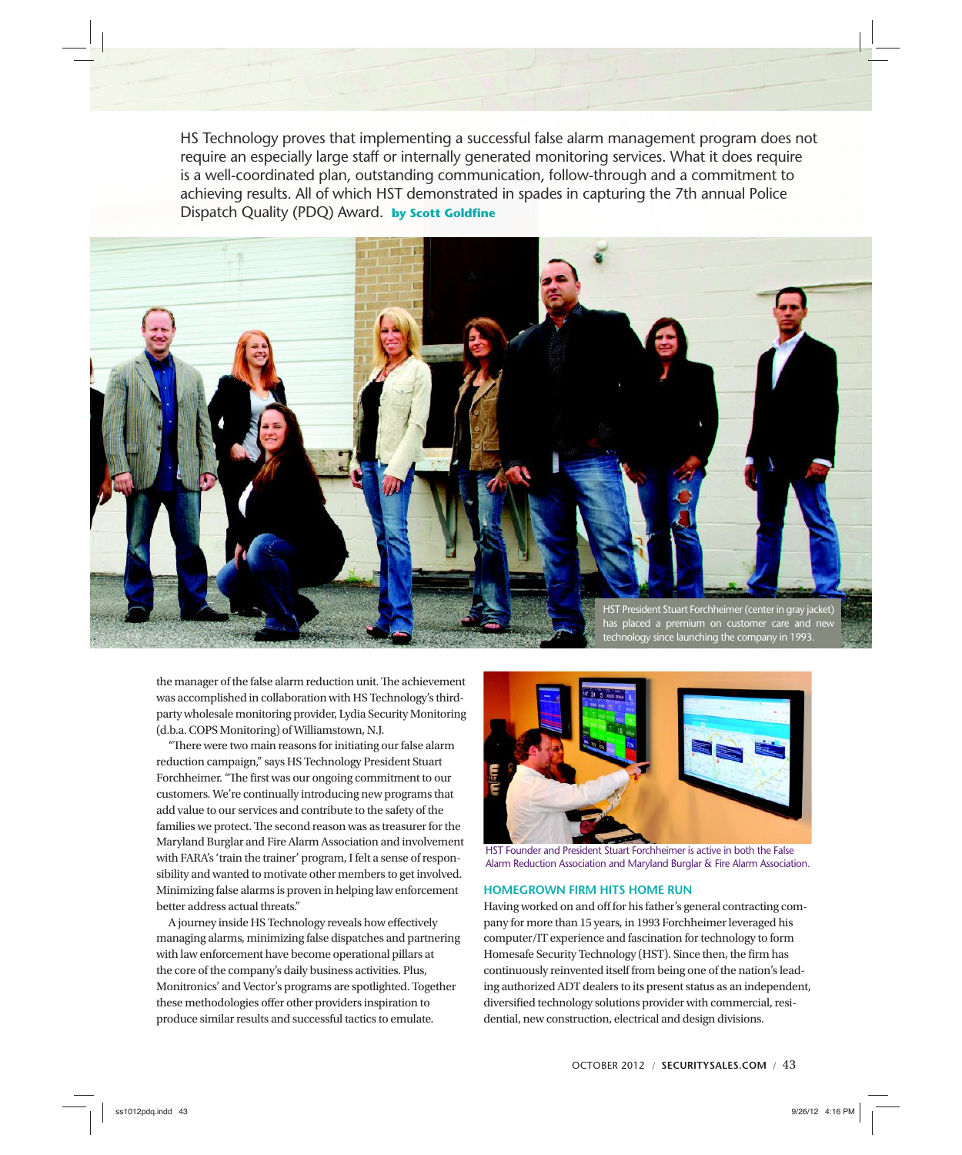HS Technology proves that implementing a successful false alarm management program does not require an especially large staff or internally generated monitoring services. What it does require is a well-coordinated plan, outstanding communication, follow-through and a commitment to achieving results. All of which HST demonstrated in spades in capturing the 7th annual Police Dispatch Quality (PDQ) Award. **by Scott Goldfine** 



the manager of the false alarm reduction unit. The achievement was accomplished in collaboration with HS Technology's thirdparty wholesale monitoring provider, Lydia Security Monitoring (d.b.a. COPS Monitoring) of Williamstown, N.J.

"There were two main reasons for initiating our false alarm reduction campaign," says HS Technology President Stuart Forchheimer. "The first was our ongoing commitment to our customers. We're continually introducing new programs that add value to our services and contribute to the safety of the families we protect. The second reason was as treasurer for the Maryland Burglar and Fire Alarm Association and involvement with FARA's 'train the trainer' program, I felt a sense of responsibility and wanted to motivate other members to get involved. Minimizing false alarms is proven in helping law enforcement better address actual threats."

A journey inside HS Technology reveals how effectively managing alarms, minimizing false dispatches and partnering with law enforcement have become operational pillars at the core of the company's daily business activities. Plus, Monitronics' and Vector's programs are spotlighted. Together these methodologies offer other providers inspiration to produce similar results and successful tactics to emulate.



HST Founder and President Stuart Forchheimer is active in both the False Alarm Reduction Association and Maryland Burglar & Fire Alarm Association.

## **HOMEGROWN FIRM HITS HOME RUN**

Having worked on and off for his father's general contracting company for more than 15 years, in 1993 Forchheimer leveraged his computer/IT experience and fascination for technology to form Homesafe Security Technology (HST). Since then, the firm has continuously reinvented itself from being one of the nation's leading authorized ADT dealers to its present status as an independent, diversified technology solutions provider with commercial, residential, new construction, electrical and design divisions.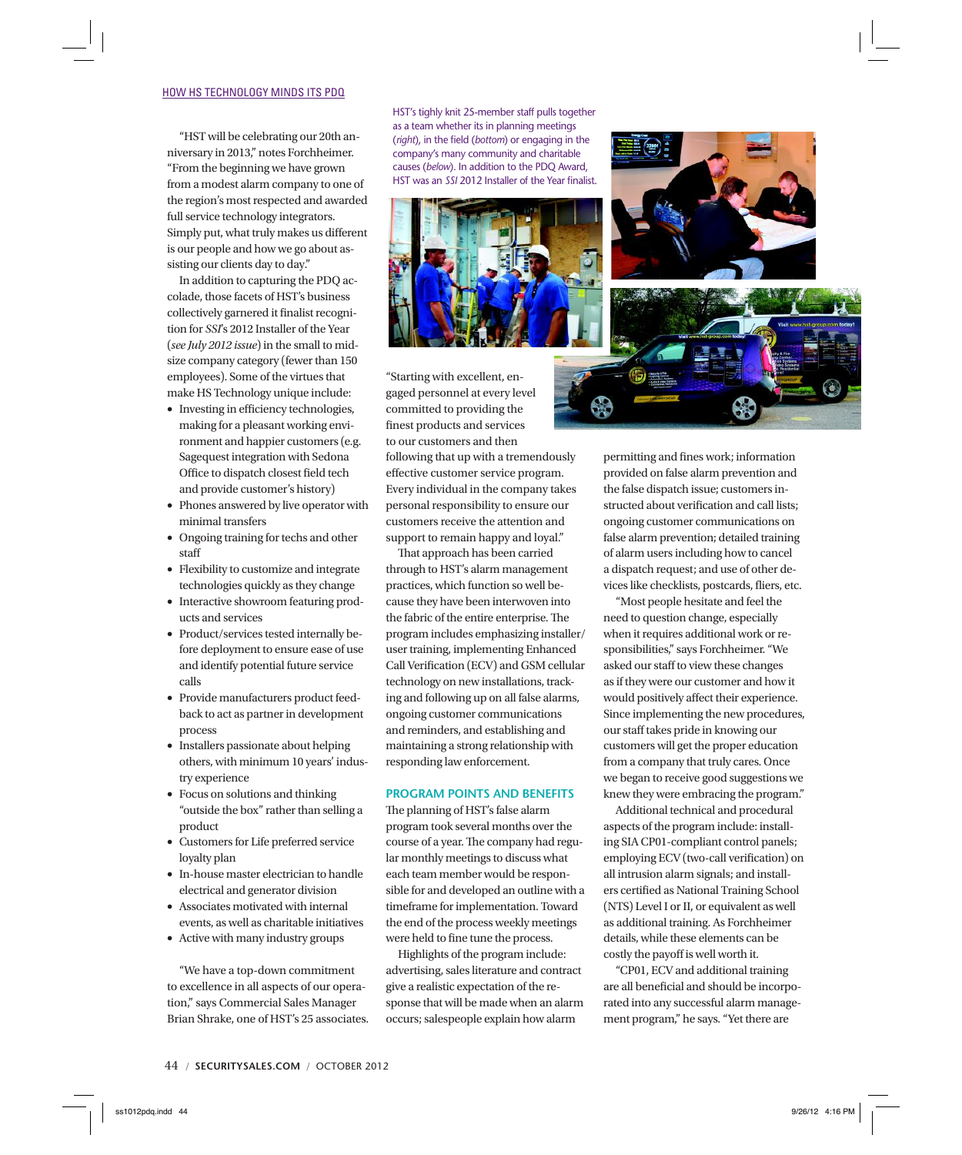## HOW HS TECHNOLOGY MINDS ITS PDQ

"HST will be celebrating our 20th anniversary in 2013," notes Forchheimer. "From the beginning we have grown from a modest alarm company to one of the region's most respected and awarded full service technology integrators. Simply put, what truly makes us different is our people and how we go about assisting our clients day to day."

In addition to capturing the PDQ accolade, those facets of HST's business collectively garnered it finalist recognition for *SSI*'s 2012 Installer of the Year (*see July 2012 issue*) in the small to midsize company category (fewer than 150 employees). Some of the virtues that make HS Technology unique include:

- Investing in efficiency technologies, making for a pleasant working environment and happier customers (e.g. Sagequest integration with Sedona Office to dispatch closest field tech and provide customer's history)
- Phones answered by live operator with minimal transfers
- Ongoing training for techs and other staff
- Flexibility to customize and integrate technologies quickly as they change
- Interactive showroom featuring products and services
- Product/services tested internally before deployment to ensure ease of use and identify potential future service calls
- Provide manufacturers product feedback to act as partner in development process
- Installers passionate about helping others, with minimum 10 years' industry experience
- Focus on solutions and thinking "outside the box" rather than selling a product
- Customers for Life preferred service loyalty plan
- In-house master electrician to handle electrical and generator division
- Associates motivated with internal events, as well as charitable initiatives
- Active with many industry groups

"We have a top-down commitment to excellence in all aspects of our operation," says Commercial Sales Manager Brian Shrake, one of HST's 25 associates. HST's tighly knit 25-member staff pulls together as a team whether its in planning meetings (*right*), in the field (*bottom*) or engaging in the company's many community and charitable causes (*below*). In addition to the PDQ Award, HST was an *SSI* 2012 Installer of the Year finalist.



"Starting with excellent, engaged personnel at every level committed to providing the finest products and services to our customers and then following that up with a tremendously effective customer service program. Every individual in the company takes personal responsibility to ensure our customers receive the attention and support to remain happy and loyal."

That approach has been carried through to HST's alarm management practices, which function so well because they have been interwoven into the fabric of the entire enterprise. The program includes emphasizing installer/ user training, implementing Enhanced Call Verification (ECV) and GSM cellular technology on new installations, tracking and following up on all false alarms, ongoing customer communications and reminders, and establishing and maintaining a strong relationship with responding law enforcement.

## **PROGRAM POINTS AND BENEFITS**

The planning of HST's false alarm program took several months over the course of a year. The company had regular monthly meetings to discuss what each team member would be responsible for and developed an outline with a timeframe for implementation. Toward the end of the process weekly meetings were held to fine tune the process.

Highlights of the program include: advertising, sales literature and contract give a realistic expectation of the response that will be made when an alarm occurs; salespeople explain how alarm

permitting and fines work; information provided on false alarm prevention and the false dispatch issue; customers instructed about verification and call lists; ongoing customer communications on false alarm prevention; detailed training of alarm users including how to cancel a dispatch request; and use of other devices like checklists, postcards, fliers, etc.

"Most people hesitate and feel the need to question change, especially when it requires additional work or responsibilities," says Forchheimer. "We asked our staff to view these changes as if they were our customer and how it would positively affect their experience. Since implementing the new procedures, our staff takes pride in knowing our customers will get the proper education from a company that truly cares. Once we began to receive good suggestions we knew they were embracing the program."

Additional technical and procedural aspects of the program include: installing SIA CP01-compliant control panels; employing ECV (two-call verification) on all intrusion alarm signals; and installers certified as National Training School (NTS) Level I or II, or equivalent as well as additional training. As Forchheimer details, while these elements can be costly the payoff is well worth it.

"CP01, ECV and additional training are all beneficial and should be incorporated into any successful alarm management program," he says. "Yet there are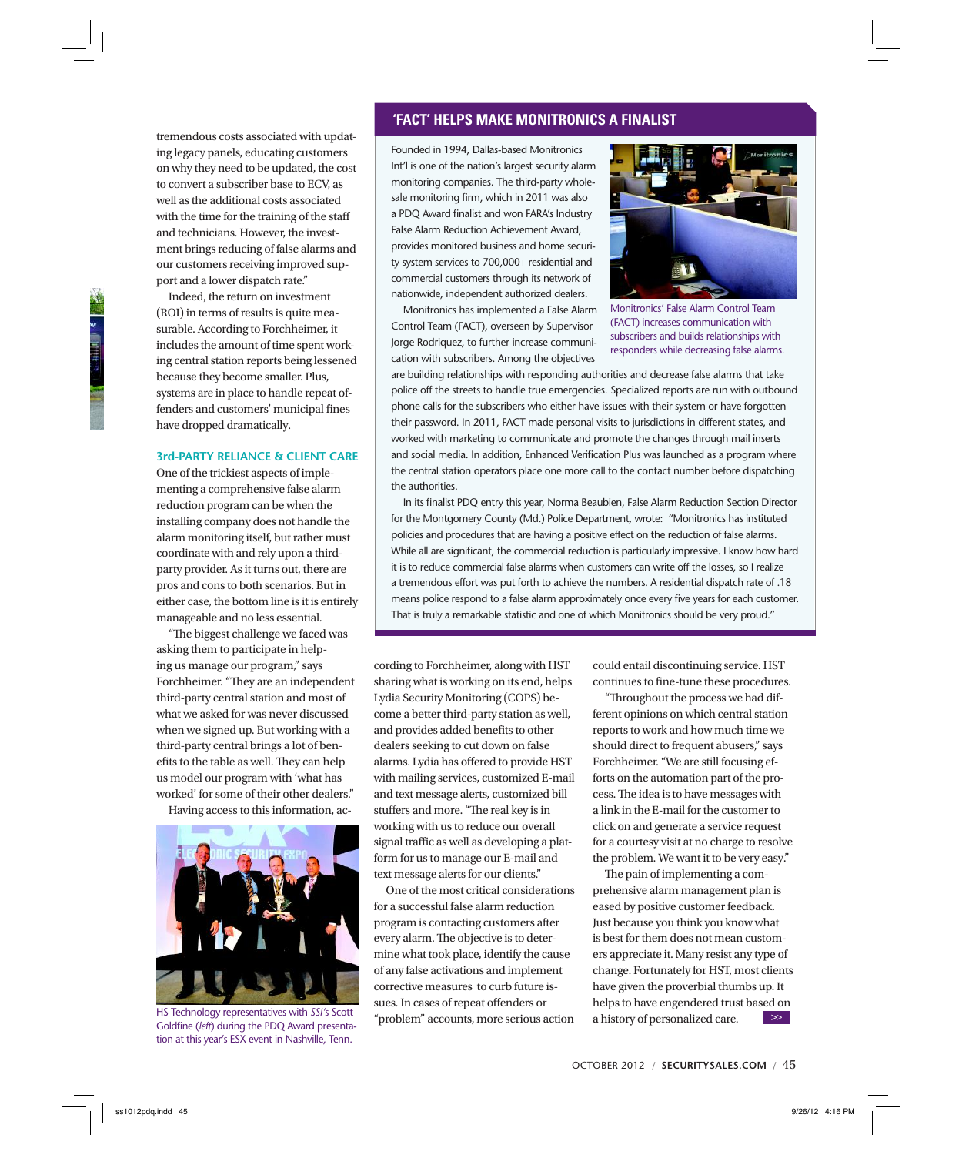tremendous costs associated with updating legacy panels, educating customers on why they need to be updated, the cost to convert a subscriber base to ECV, as well as the additional costs associated with the time for the training of the staff and technicians. However, the investment brings reducing of false alarms and our customers receiving improved support and a lower dispatch rate."

Indeed, the return on investment (ROI) in terms of results is quite measurable. According to Forchheimer, it includes the amount of time spent working central station reports being lessened because they become smaller. Plus, systems are in place to handle repeat offenders and customers' municipal fines have dropped dramatically.

### **3rd-PARTY RELIANCE & CLIENT CARE**

One of the trickiest aspects of implementing a comprehensive false alarm reduction program can be when the installing company does not handle the alarm monitoring itself, but rather must coordinate with and rely upon a thirdparty provider. As it turns out, there are pros and cons to both scenarios. But in either case, the bottom line is it is entirely manageable and no less essential.

"The biggest challenge we faced was asking them to participate in helping us manage our program," says Forchheimer. "They are an independent third-party central station and most of what we asked for was never discussed when we signed up. But working with a third-party central brings a lot of benefits to the table as well. They can help us model our program with 'what has worked' for some of their other dealers."

Having access to this information, ac-



HS Technology representatives with *SSI'*s Scott Goldfine (left) during the PDQ Award presentation at this year's ESX event in Nashville, Tenn.

## **'FACT' HELPS MAKE MONITRONICS A FINALIST**

Founded in 1994, Dallas-based Monitronics Int'l is one of the nation's largest security alarm monitoring companies. The third-party wholesale monitoring firm, which in 2011 was also a PDQ Award finalist and won FARA's Industry False Alarm Reduction Achievement Award, provides monitored business and home security system services to 700,000+ residential and commercial customers through its network of nationwide, independent authorized dealers.

Monitronics has implemented a False Alarm Control Team (FACT), overseen by Supervisor Jorge Rodriquez, to further increase communication with subscribers. Among the objectives



Monitronics' False Alarm Control Team (FACT) increases communication with subscribers and builds relationships with responders while decreasing false alarms.

are building relationships with responding authorities and decrease false alarms that take police off the streets to handle true emergencies. Specialized reports are run with outbound phone calls for the subscribers who either have issues with their system or have forgotten their password. In 2011, FACT made personal visits to jurisdictions in different states, and worked with marketing to communicate and promote the changes through mail inserts and social media. In addition, Enhanced Verification Plus was launched as a program where the central station operators place one more call to the contact number before dispatching the authorities.

In its finalist PDQ entry this year, Norma Beaubien, False Alarm Reduction Section Director for the Montgomery County (Md.) Police Department, wrote: "Monitronics has instituted policies and procedures that are having a positive effect on the reduction of false alarms. While all are significant, the commercial reduction is particularly impressive. I know how hard it is to reduce commercial false alarms when customers can write off the losses, so I realize a tremendous effort was put forth to achieve the numbers. A residential dispatch rate of .18 means police respond to a false alarm approximately once every five years for each customer. That is truly a remarkable statistic and one of which Monitronics should be very proud."

cording to Forchheimer, along with HST sharing what is working on its end, helps Lydia Security Monitoring (COPS) become a better third-party station as well, and provides added benefits to other dealers seeking to cut down on false alarms. Lydia has offered to provide HST with mailing services, customized E-mail and text message alerts, customized bill stuffers and more. "The real key is in working with us to reduce our overall signal traffic as well as developing a platform for us to manage our E-mail and text message alerts for our clients."

One of the most critical considerations for a successful false alarm reduction program is contacting customers after every alarm. The objective is to determine what took place, identify the cause of any false activations and implement corrective measures to curb future issues. In cases of repeat offenders or "problem" accounts, more serious action

could entail discontinuing service. HST continues to fine-tune these procedures.

"Throughout the process we had different opinions on which central station reports to work and how much time we should direct to frequent abusers," says Forchheimer. "We are still focusing efforts on the automation part of the process. The idea is to have messages with a link in the E-mail for the customer to click on and generate a service request for a courtesy visit at no charge to resolve the problem. We want it to be very easy."

The pain of implementing a comprehensive alarm management plan is eased by positive customer feedback. Just because you think you know what is best for them does not mean customers appreciate it. Many resist any type of change. Fortunately for HST, most clients have given the proverbial thumbs up. It helps to have engendered trust based on a history of personalized care. >>